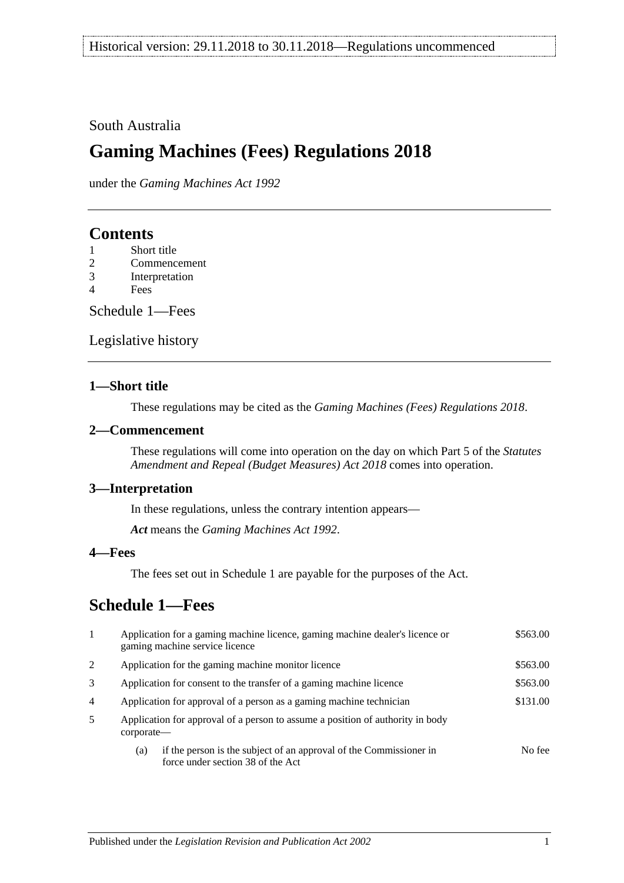#### South Australia

## **Gaming Machines (Fees) Regulations 2018**

under the *Gaming Machines Act 1992*

### **Contents**

- 2 [Commencement](#page-0-1)
- 3 [Interpretation](#page-0-2)
- 4 [Fees](#page-0-3)

[Schedule](#page-0-4) 1—Fees

[Legislative history](#page-2-0)

#### <span id="page-0-0"></span>**1—Short title**

These regulations may be cited as the *Gaming Machines (Fees) Regulations 2018*.

#### <span id="page-0-1"></span>**2—Commencement**

These regulations will come into operation on the day on which Part 5 of the *[Statutes](http://www.legislation.sa.gov.au/index.aspx?action=legref&type=act&legtitle=Statutes%20Amendment%20and%20Repeal%20(Budget%20Measures)%20Act%202018)  [Amendment and Repeal \(Budget Measures\) Act](http://www.legislation.sa.gov.au/index.aspx?action=legref&type=act&legtitle=Statutes%20Amendment%20and%20Repeal%20(Budget%20Measures)%20Act%202018) 2018* comes into operation.

#### <span id="page-0-2"></span>**3—Interpretation**

In these regulations, unless the contrary intention appears—

*Act* means the *[Gaming Machines Act](http://www.legislation.sa.gov.au/index.aspx?action=legref&type=act&legtitle=Gaming%20Machines%20Act%201992) 1992*.

#### <span id="page-0-3"></span>**4—Fees**

The fees set out in [Schedule](#page-0-4) 1 are payable for the purposes of the Act.

## <span id="page-0-4"></span>**Schedule 1—Fees**

| $\mathbf{1}$   | Application for a gaming machine licence, gaming machine dealer's licence or<br>gaming machine service licence | \$563.00 |
|----------------|----------------------------------------------------------------------------------------------------------------|----------|
| 2              | Application for the gaming machine monitor licence                                                             | \$563.00 |
| 3              | Application for consent to the transfer of a gaming machine licence                                            | \$563.00 |
| $\overline{4}$ | Application for approval of a person as a gaming machine technician                                            | \$131.00 |
| 5              | Application for approval of a person to assume a position of authority in body<br>corporate—                   |          |
|                | if the person is the subject of an approval of the Commissioner in<br>(a)<br>force under section 38 of the Act | No fee   |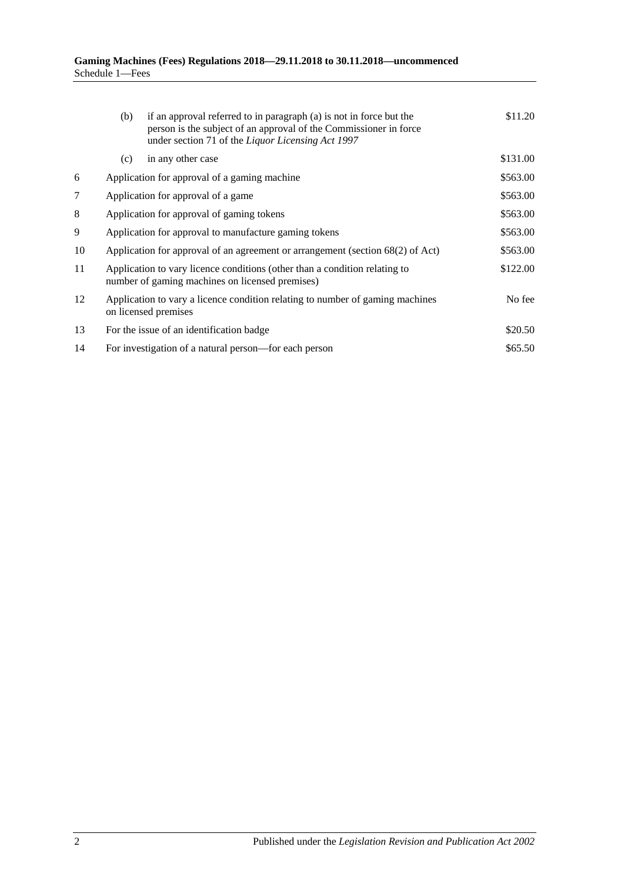|    | (b)                                                                                                                           | if an approval referred to in paragraph (a) is not in force but the<br>person is the subject of an approval of the Commissioner in force<br>under section 71 of the Liquor Licensing Act 1997 | \$11.20  |
|----|-------------------------------------------------------------------------------------------------------------------------------|-----------------------------------------------------------------------------------------------------------------------------------------------------------------------------------------------|----------|
|    | (c)                                                                                                                           | in any other case                                                                                                                                                                             | \$131.00 |
| 6  |                                                                                                                               | Application for approval of a gaming machine                                                                                                                                                  | \$563.00 |
| 7  |                                                                                                                               | Application for approval of a game                                                                                                                                                            | \$563.00 |
| 8  | Application for approval of gaming tokens                                                                                     |                                                                                                                                                                                               | \$563.00 |
| 9  |                                                                                                                               | Application for approval to manufacture gaming tokens                                                                                                                                         | \$563.00 |
| 10 | Application for approval of an agreement or arrangement (section 68(2) of Act)                                                |                                                                                                                                                                                               | \$563.00 |
| 11 | Application to vary licence conditions (other than a condition relating to<br>number of gaming machines on licensed premises) |                                                                                                                                                                                               | \$122.00 |
| 12 | Application to vary a licence condition relating to number of gaming machines<br>on licensed premises                         |                                                                                                                                                                                               | No fee   |
| 13 |                                                                                                                               | For the issue of an identification badge                                                                                                                                                      | \$20.50  |
| 14 |                                                                                                                               | For investigation of a natural person—for each person                                                                                                                                         | \$65.50  |